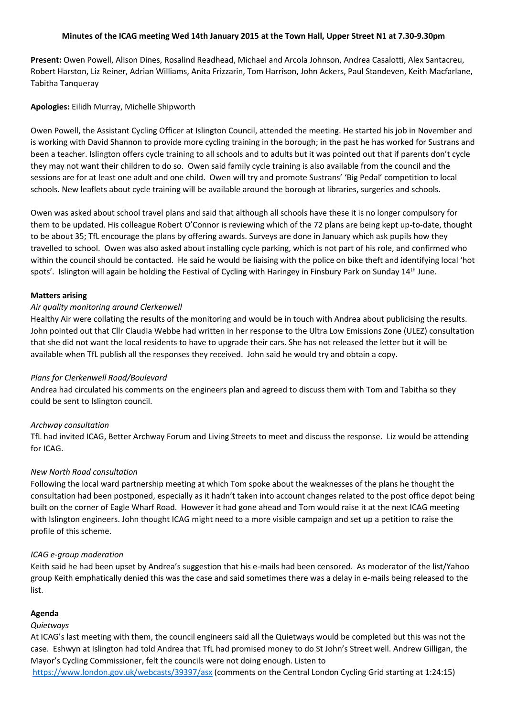### **Minutes of the ICAG meeting Wed 14th January 2015 at the Town Hall, Upper Street N1 at 7.30-9.30pm**

**Present:** Owen Powell, Alison Dines, Rosalind Readhead, Michael and Arcola Johnson, Andrea Casalotti, Alex Santacreu, Robert Harston, Liz Reiner, Adrian Williams, Anita Frizzarin, Tom Harrison, John Ackers, Paul Standeven, Keith Macfarlane, Tabitha Tanqueray

**Apologies:** Eilidh Murray, Michelle Shipworth

Owen Powell, the Assistant Cycling Officer at Islington Council, attended the meeting. He started his job in November and is working with David Shannon to provide more cycling training in the borough; in the past he has worked for Sustrans and been a teacher. Islington offers cycle training to all schools and to adults but it was pointed out that if parents don't cycle they may not want their children to do so. Owen said family cycle training is also available from the council and the sessions are for at least one adult and one child. Owen will try and promote Sustrans' 'Big Pedal' competition to local schools. New leaflets about cycle training will be available around the borough at libraries, surgeries and schools.

Owen was asked about school travel plans and said that although all schools have these it is no longer compulsory for them to be updated. His colleague Robert O'Connor is reviewing which of the 72 plans are being kept up-to-date, thought to be about 35; TfL encourage the plans by offering awards. Surveys are done in January which ask pupils how they travelled to school. Owen was also asked about installing cycle parking, which is not part of his role, and confirmed who within the council should be contacted. He said he would be liaising with the police on bike theft and identifying local 'hot spots'. Islington will again be holding the Festival of Cycling with Haringey in Finsbury Park on Sunday 14<sup>th</sup> June.

### **Matters arising**

#### *Air quality monitoring around Clerkenwell*

Healthy Air were collating the results of the monitoring and would be in touch with Andrea about publicising the results. John pointed out that Cllr Claudia Webbe had written in her response to the Ultra Low Emissions Zone (ULEZ) consultation that she did not want the local residents to have to upgrade their cars. She has not released the letter but it will be available when TfL publish all the responses they received. John said he would try and obtain a copy.

#### *Plans for Clerkenwell Road/Boulevard*

Andrea had circulated his comments on the engineers plan and agreed to discuss them with Tom and Tabitha so they could be sent to Islington council.

#### *Archway consultation*

TfL had invited ICAG, Better Archway Forum and Living Streets to meet and discuss the response. Liz would be attending for ICAG.

#### *New North Road consultation*

Following the local ward partnership meeting at which Tom spoke about the weaknesses of the plans he thought the consultation had been postponed, especially as it hadn't taken into account changes related to the post office depot being built on the corner of Eagle Wharf Road. However it had gone ahead and Tom would raise it at the next ICAG meeting with Islington engineers. John thought ICAG might need to a more visible campaign and set up a petition to raise the profile of this scheme.

### *ICAG e-group moderation*

Keith said he had been upset by Andrea's suggestion that his e-mails had been censored. As moderator of the list/Yahoo group Keith emphatically denied this was the case and said sometimes there was a delay in e-mails being released to the list.

## **Agenda**

#### *Quietways*

At ICAG's last meeting with them, the council engineers said all the Quietways would be completed but this was not the case. Eshwyn at Islington had told Andrea that TfL had promised money to do St John's Street well. Andrew Gilligan, the Mayor's Cycling Commissioner, felt the councils were not doing enough. Listen to

<https://www.london.gov.uk/webcasts/39397/asx> (comments on the Central London Cycling Grid starting at 1:24:15)